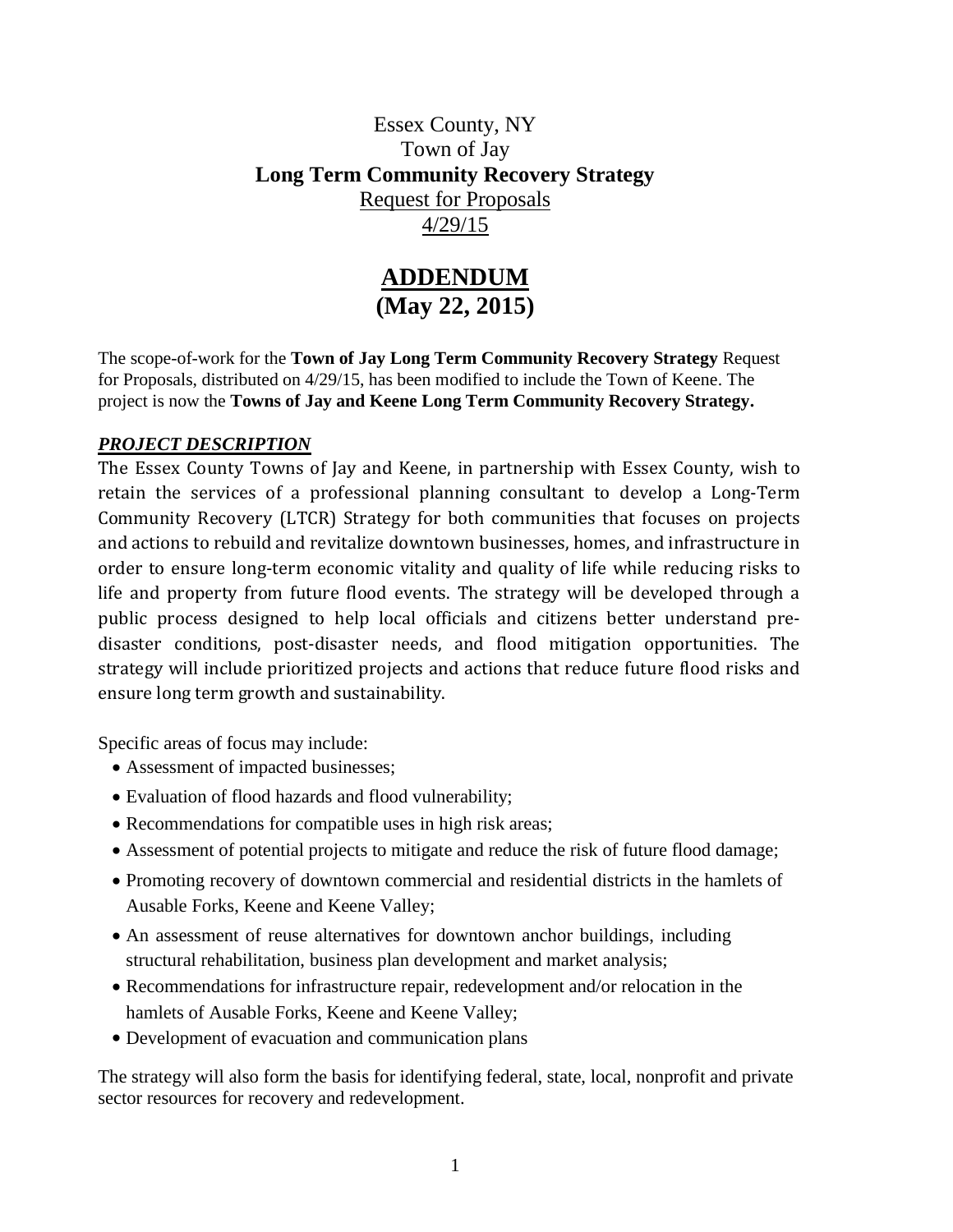## Essex County, NY Town of Jay **Long Term Community Recovery Strategy** Request for Proposals 4/29/15

## **ADDENDUM (May 22, 2015)**

The scope-of-work for the **Town of Jay Long Term Community Recovery Strategy** Request for Proposals, distributed on 4/29/15, has been modified to include the Town of Keene. The project is now the **Towns of Jay and Keene Long Term Community Recovery Strategy.**

## *PROJECT DESCRIPTION*

The Essex County Towns of Jay and Keene, in partnership with Essex County, wish to retain the services of a professional planning consultant to develop a Long-Term Community Recovery (LTCR) Strategy for both communities that focuses on projects and actions to rebuild and revitalize downtown businesses, homes, and infrastructure in order to ensure long-term economic vitality and quality of life while reducing risks to life and property from future flood events. The strategy will be developed through a public process designed to help local officials and citizens better understand predisaster conditions, post-disaster needs, and flood mitigation opportunities. The strategy will include prioritized projects and actions that reduce future flood risks and ensure long term growth and sustainability.

Specific areas of focus may include:

- Assessment of impacted businesses;
- Evaluation of flood hazards and flood vulnerability;
- Recommendations for compatible uses in high risk areas;
- Assessment of potential projects to mitigate and reduce the risk of future flood damage;
- Promoting recovery of downtown commercial and residential districts in the hamlets of Ausable Forks, Keene and Keene Valley;
- An assessment of reuse alternatives for downtown anchor buildings, including structural rehabilitation, business plan development and market analysis;
- Recommendations for infrastructure repair, redevelopment and/or relocation in the hamlets of Ausable Forks, Keene and Keene Valley;
- Development of evacuation and communication plans

The strategy will also form the basis for identifying federal, state, local, nonprofit and private sector resources for recovery and redevelopment.